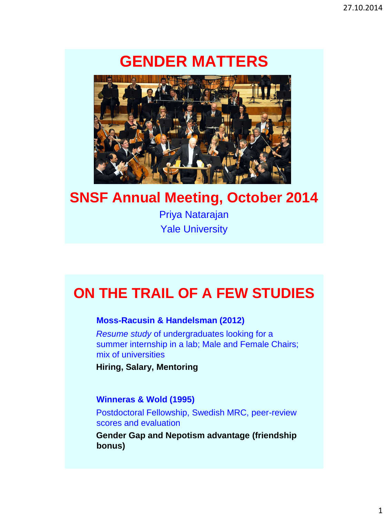# **GENDER MATTERS**



## **SNSF Annual Meeting, October 2014**

Priya Natarajan Yale University

# **ON THE TRAIL OF A FEW STUDIES**

### **Moss-Racusin & Handelsman (2012)**

*Resume study* of undergraduates looking for a summer internship in a lab; Male and Female Chairs; mix of universities

**Hiring, Salary, Mentoring**

### **Winneras & Wold (1995)**

Postdoctoral Fellowship, Swedish MRC, peer-review scores and evaluation

**Gender Gap and Nepotism advantage (friendship bonus)**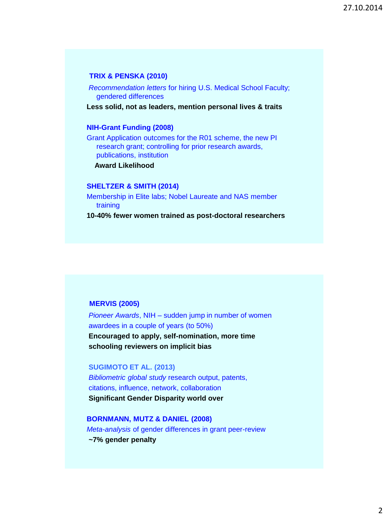#### **TRIX & PENSKA (2010)**

*Recommendation letters* for hiring U.S. Medical School Faculty; gendered differences

**Less solid, not as leaders, mention personal lives & traits**

#### **NIH-Grant Funding (2008)**

Grant Application outcomes for the R01 scheme, the new PI research grant; controlling for prior research awards, publications, institution

**Award Likelihood**

#### **SHELTZER & SMITH (2014)**

Membership in Elite labs; Nobel Laureate and NAS member training

**10-40% fewer women trained as post-doctoral researchers**

#### **MERVIS (2005)**

*Pioneer Awards*, NIH – sudden jump in number of women awardees in a couple of years (to 50%) **Encouraged to apply, self-nomination, more time schooling reviewers on implicit bias**

**SUGIMOTO ET AL. (2013)** *Bibliometric global study* research output, patents, citations, influence, network, collaboration **Significant Gender Disparity world over** 

**BORNMANN, MUTZ & DANIEL (2008)** *Meta-analysis* of gender differences in grant peer-review **~7% gender penalty**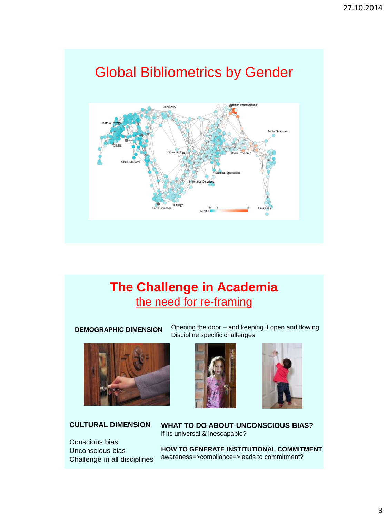# Global Bibliometrics by Gender



## **The Challenge in Academia** the need for re-framing

**DEMOGRAPHIC DIMENSION**



### **CULTURAL DIMENSION**

Conscious bias Unconscious bias Challenge in all disciplines Opening the door – and keeping it open and flowing Discipline specific challenges





**WHAT TO DO ABOUT UNCONSCIOUS BIAS?** if its universal & inescapable?

**HOW TO GENERATE INSTITUTIONAL COMMITMENT** awareness=>compliance=>leads to commitment?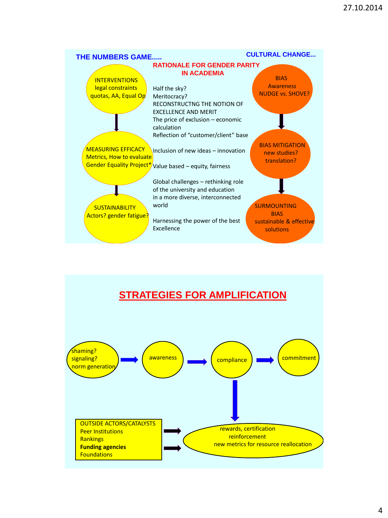

## **STRATEGIES FOR AMPLIFICATION**

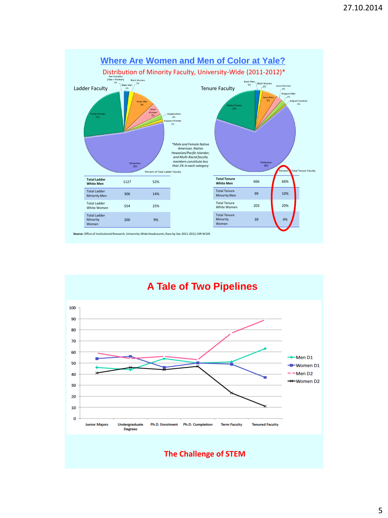

**A Tale of Two Pipelines**



**The Challenge of STEM**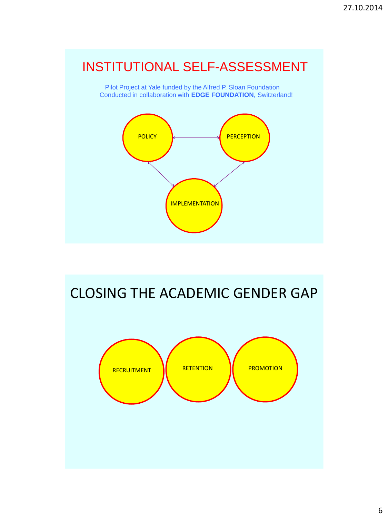## INSTITUTIONAL SELF-ASSESSMENT

Pilot Project at Yale funded by the Alfred P. Sloan Foundation Conducted in collaboration with **EDGE FOUNDATION**, Switzerland!



# CLOSING THE ACADEMIC GENDER GAP

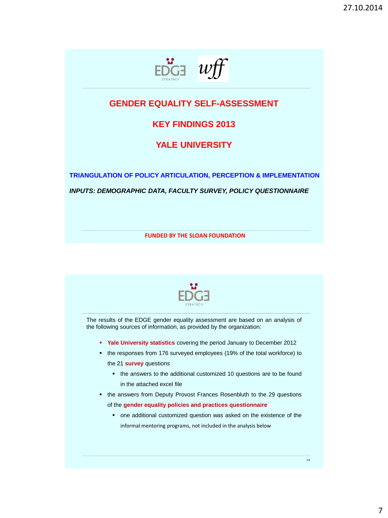

### **GENDER EQUALITY SELF-ASSESSMENT**

### **KEY FINDINGS 2013**

### **YALE UNIVERSITY**

**TRIANGULATION OF POLICY ARTICULATION, PERCEPTION & IMPLEMENTATION** *INPUTS: DEMOGRAPHIC DATA, FACULTY SURVEY, POLICY QUESTIONNAIRE* 

**FUNDED BY THE SLOAN FOUNDATION**



The results of the EDGE gender equality assessment are based on an analysis of the following sources of information, as provided by the organization:

- **Yale University statistics** covering the period January to December 2012
- the responses from 176 surveyed employees (19% of the total workforce) to the 21 **survey** questions
	- the answers to the additional customized 10 questions are to be found in the attached excel file
- the answers from Deputy Provost Frances Rosenbluth to the 29 questions of the **gender equality policies and practices questionnaire**
	- one additional customized question was asked on the existence of the informal mentoring programs, not included in the analysis below

14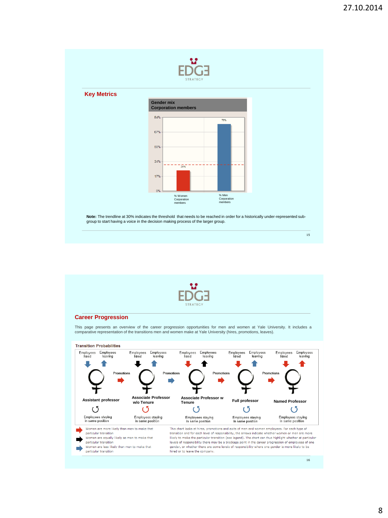

#### **Key Metrics Gender mix Corporation members** 84% 76% 67% 50% 34%  $\frac{1}{249}$  $17%$  $0%$ % Women Corporation % Men Corporation members members

**Note:** The trendline at 30% indicates the threshold that needs to be reached in order for a historically under-represented subgroup to start having a voice in the decision making process of the larger group.

15



#### **Career Progression**

This page presents an overview of the career progression opportunities for men and women at Yale University. It includes a<br>comparative representationof the transitions men and women make at Yale University (hires, promotio

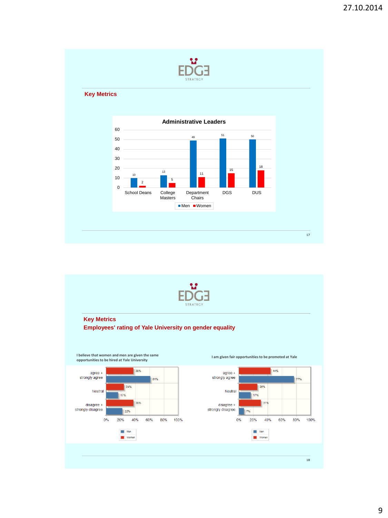

#### **Key Metrics**



17



#### **Key Metrics Employees' rating of Yale University on gender equality**

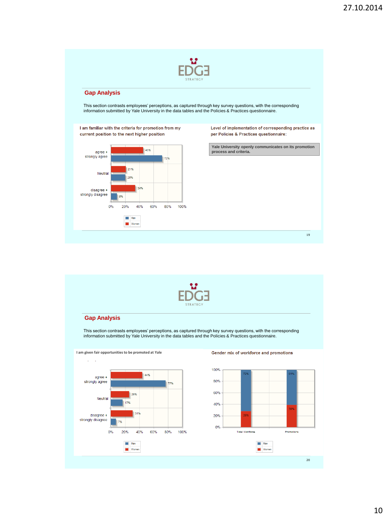

#### **Gap Analysis**

This section contrasts employees' perceptions, as captured through key survey questions, with the corresponding information submitted by Yale University in the data tables and the Policies & Practices questionnaire.



Level of implementation of corresponding practice as per Policies & Practices questionnaire:

**Yale University openly communicates on its promotion process and criteria.**

19



#### **Gap Analysis**

This section contrasts employees' perceptions, as captured through key survey questions, with the corresponding information submitted by Yale University in the data tables and the Policies & Practices questionnaire.



#### Gender mix of workforce and promotions

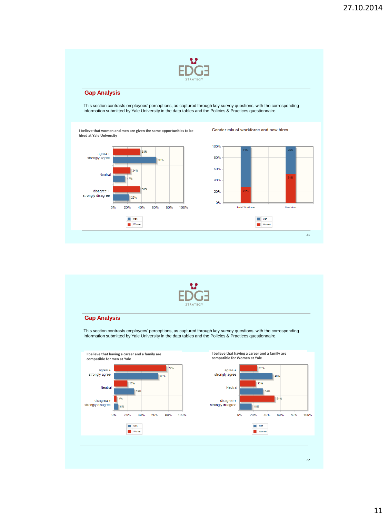

#### **Gap Analysis**

This section contrasts employees' perceptions, as captured through key survey questions, with the corresponding information submitted by Yale University in the data tables and the Policies & Practices questionnaire.

**I believe that women and men are given the same opportunities to be hired at Yale University**





Gender mix of workforce and new hires



#### **Gap Analysis**

This section contrasts employees' perceptions, as captured through key survey questions, with the corresponding information submitted by Yale University in the data tables and the Policies & Practices questionnaire.

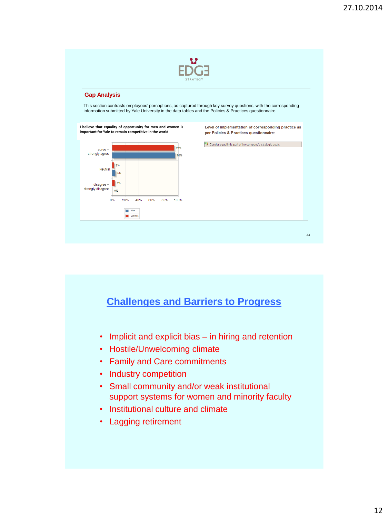

#### **Gap Analysis**

This section contrasts employees' perceptions, as captured through key survey questions, with the corresponding information submitted by Yale University in the data tables and the Policies & Practices questionnaire.



### **Challenges and Barriers to Progress**

- Implicit and explicit bias in hiring and retention
- Hostile/Unwelcoming climate
- Family and Care commitments
- Industry competition
- Small community and/or weak institutional support systems for women and minority faculty
- Institutional culture and climate
- Lagging retirement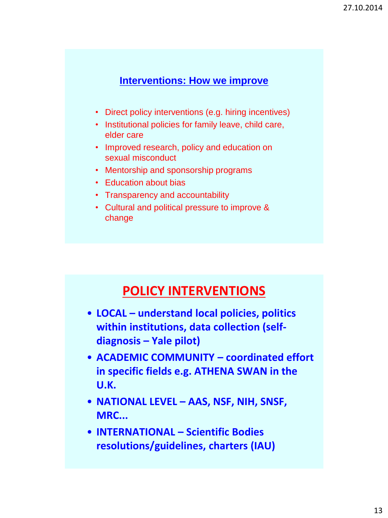### **Interventions: How we improve**

- Direct policy interventions (e.g. hiring incentives)
- Institutional policies for family leave, child care, elder care
- Improved research, policy and education on sexual misconduct
- Mentorship and sponsorship programs
- Education about bias
- Transparency and accountability
- Cultural and political pressure to improve & change

## **POLICY INTERVENTIONS**

- **LOCAL – understand local policies, politics within institutions, data collection (selfdiagnosis – Yale pilot)**
- **ACADEMIC COMMUNITY – coordinated effort in specific fields e.g. ATHENA SWAN in the U.K.**
- **NATIONAL LEVEL – AAS, NSF, NIH, SNSF, MRC...**
- **INTERNATIONAL – Scientific Bodies resolutions/guidelines, charters (IAU)**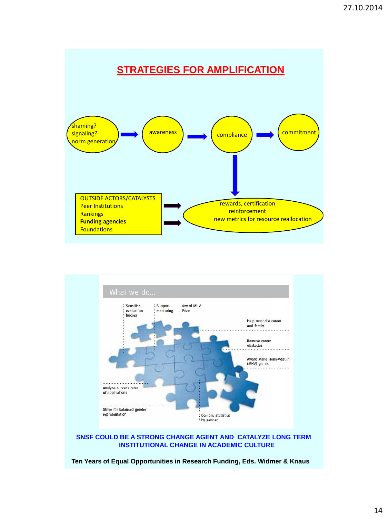### **STRATEGIES FOR AMPLIFICATION**





#### **SNSF COULD BE A STRONG CHANGE AGENT AND CATALYZE LONG TERM INSTITUTIONAL CHANGE IN ACADEMIC CULTURE**

**Ten Years of Equal Opportunities in Research Funding, Eds. Widmer & Knaus**